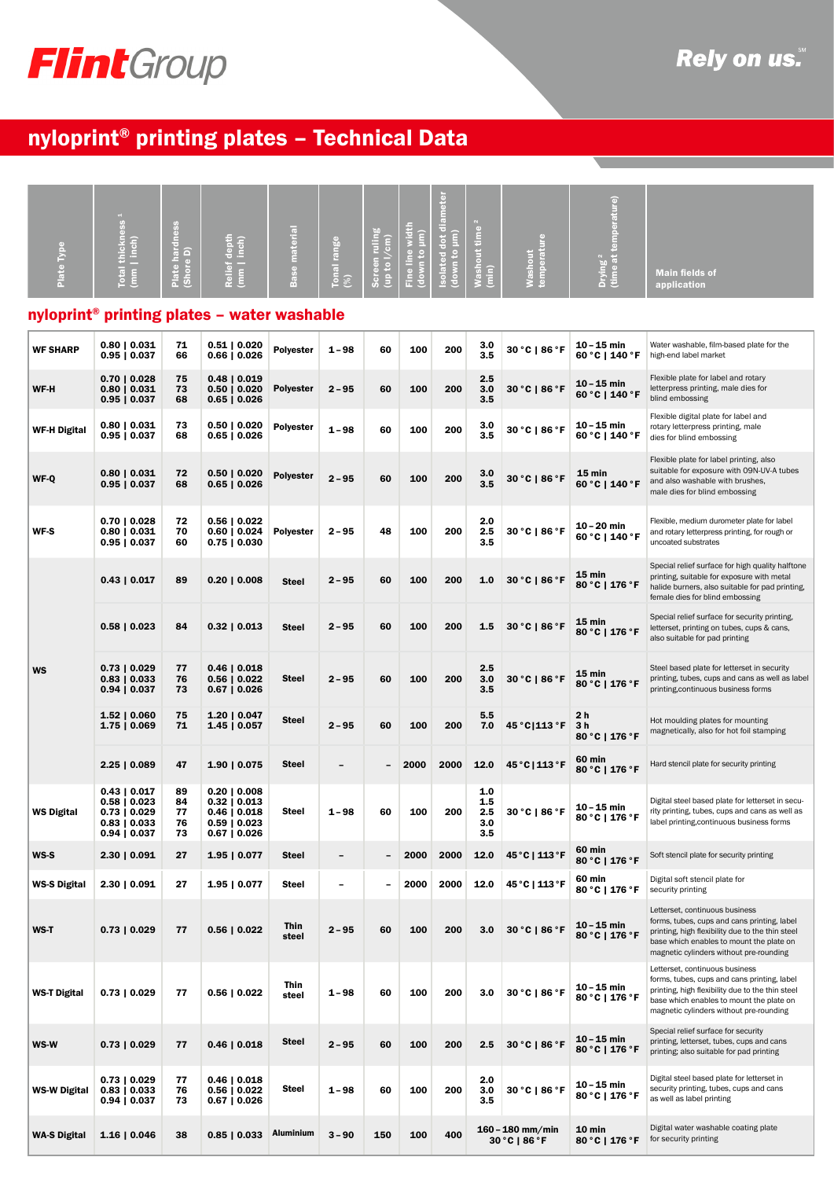# FlintGroup

## nyloprint® printing plates – Technical Data

| Plate Type          | thickness<br>(mm   line)<br>Total                                                                     | <b>Plate hardness</b><br>(Shore D) | depth<br>inch)<br><b>Relief</b><br>$\frac{1}{2}$                                            | materia<br><b>Base</b> | Tonal range<br>(%) | Screen ruling<br>(up to l/cm) | Fine line width<br>(down to µm) | amete<br>dot di<br>(down to µm)<br>lated<br>$\overline{\phantom{0}}$ | <b>Washout time</b><br>Ê        | temperature<br>Washout              | Drying <sup>2</sup><br>(time at temperature) | <b>Main fields of</b><br>application                                                                                                                                                                                     |  |
|---------------------|-------------------------------------------------------------------------------------------------------|------------------------------------|---------------------------------------------------------------------------------------------|------------------------|--------------------|-------------------------------|---------------------------------|----------------------------------------------------------------------|---------------------------------|-------------------------------------|----------------------------------------------|--------------------------------------------------------------------------------------------------------------------------------------------------------------------------------------------------------------------------|--|
|                     | nyloprint <sup>®</sup> printing plates - water washable                                               |                                    |                                                                                             |                        |                    |                               |                                 |                                                                      |                                 |                                     |                                              |                                                                                                                                                                                                                          |  |
| <b>WF SHARP</b>     | $0.80 \mid 0.031$<br>$0.95 \mid 0.037$                                                                | 71<br>66                           | $0.51 \mid 0.020$<br>0.66   0.026                                                           | Polyester              | $1 - 98$           | 60                            | 100                             | 200                                                                  | 3.0<br>3.5                      | 30 °C   86 °F                       | 10 – 15 min<br>60 °C   140 °F                | Water washable, film-based plate for the<br>high-end label market                                                                                                                                                        |  |
| WF-H                | $0.70 \mid 0.028$<br>$0.80 \mid 0.031$<br>$0.95 \mid 0.037$                                           | 75<br>73<br>68                     | $0.48$   $0.019$<br>$0.50 \mid 0.020$<br>$0.65 \mid 0.026$                                  | <b>Polyester</b>       | $2 - 95$           | 60                            | 100                             | 200                                                                  | 2.5<br>3.0<br>3.5               | 30 °C   86 °F                       | 10 – 15 min<br>60 °C   140 °F                | Flexible plate for label and rotary<br>letterpress printing, male dies for<br>blind embossing                                                                                                                            |  |
| <b>WF-H Digital</b> | $0.80 \mid 0.031$<br>$0.95 \mid 0.037$                                                                | 73<br>68                           | $0.50 \mid 0.020$<br>0.65   0.026                                                           | Polyester              | 1-98               | 60                            | 100                             | 200                                                                  | 3.0<br>3.5                      | 30 °C   86 °F                       | 10 – 15 min<br>60 °C   140 °F                | Flexible digital plate for label and<br>rotary letterpress printing, male<br>dies for blind embossing                                                                                                                    |  |
| WF-Q                | $0.80 \mid 0.031$<br>$0.95 \mid 0.037$                                                                | 72<br>68                           | $0.50 \mid 0.020$<br>$0.65 \mid 0.026$                                                      | <b>Polyester</b>       | $2 - 95$           | 60                            | 100                             | 200                                                                  | 3.0<br>3.5                      | 30 °C   86 °F                       | $15 \text{ min}$<br>60 °C   140 °F           | Flexible plate for label printing, also<br>suitable for exposure with 09N-UV-A tubes<br>and also washable with brushes,<br>male dies for blind embossing                                                                 |  |
| <b>WF-S</b>         | $0.70 \mid 0.028$<br>$0.80 \mid 0.031$<br>$0.95 \mid 0.037$                                           | 72<br>70<br>60                     | $0.56 \mid 0.022$<br>$0.60 \mid 0.024$<br>$0.75 \mid 0.030$                                 | <b>Polyester</b>       | 2 – 95             | 48                            | 100                             | 200                                                                  | 2.0<br>2.5<br>3.5               | 30 °C   86 °F                       | $10 - 20$ min<br>60 °C   140 °F              | Flexible, medium durometer plate for label<br>and rotary letterpress printing, for rough or<br>uncoated substrates                                                                                                       |  |
|                     | $0.43 \mid 0.017$                                                                                     | 89                                 | $0.20 \mid 0.008$                                                                           | <b>Steel</b>           | $2 - 95$           | 60                            | 100                             | 200                                                                  | 1.0                             | 30 °C   86 °F                       | 15 min<br>80 °C   176 °F                     | Special relief surface for high quality halftone<br>printing, suitable for exposure with metal<br>halide burners, also suitable for pad printing,<br>female dies for blind embossing                                     |  |
|                     | $0.58 \mid 0.023$                                                                                     | 84                                 | $0.32 \mid 0.013$                                                                           | Steel                  | $2 - 95$           | 60                            | 100                             | 200                                                                  | 1.5                             | $30 °C$   86 $°F$                   | 15 min<br>80 °C   176 °F                     | Special relief surface for security printing,<br>letterset, printing on tubes, cups & cans,<br>also suitable for pad printing                                                                                            |  |
| <b>WS</b>           | $0.73 \mid 0.029$<br>$0.83 \mid 0.033$<br>$0.94 \mid 0.037$                                           | 77<br>76<br>73                     | $0.46 \mid 0.018$<br>$0.56 \mid 0.022$<br>$0.67 \mid 0.026$                                 | Steel                  | $2 - 95$           | 60                            | 100                             | 200                                                                  | 2.5<br>3.0<br>3.5               | 30 °C   86 °F                       | 15 min<br>80 °C   176 °F                     | Steel based plate for letterset in security<br>printing, tubes, cups and cans as well as label<br>printing, continuous business forms                                                                                    |  |
|                     | $1.52 \mid 0.060$<br>$1.75 \mid 0.069$                                                                | 75<br>71                           | 1.20   0.047<br>1.45   0.057                                                                | Steel                  | 2 – 95             | 60                            | 100                             | 200                                                                  | 5.5<br>7.0                      | 45 ° C   113 ° F                    | 2 h<br>3 <sub>h</sub><br>80 °C   176 °F      | Hot moulding plates for mounting<br>magnetically, also for hot foil stamping                                                                                                                                             |  |
|                     | $2.25 \mid 0.089$                                                                                     | 47                                 | 1.90   0.075                                                                                | Steel                  | -                  |                               | 2000                            | 2000                                                                 | 12.0                            | 45 °C   113 °F                      | 60 min<br>80 °C   176 °F                     | Hard stencil plate for security printing                                                                                                                                                                                 |  |
| <b>WS Digital</b>   | $0.43 \mid 0.017$<br>$0.58 \mid 0.023$<br>$0.73 \mid 0.029$<br>$0.83 \mid 0.033$<br>$0.94 \mid 0.037$ | 89<br>84<br>77<br>76<br>73         | 0.20   0.008<br>$0.32 \mid 0.013$<br>0.46   0.018<br>$0.59 \mid 0.023$<br>$0.67 \mid 0.026$ | Steel                  | 1-98               | 60                            | 100                             | 200                                                                  | 1.0<br>1.5<br>2.5<br>3.0<br>3.5 | $30 °C$   86 $°F$                   | $10 - 15$ min<br>80 °C   176 °F              | Digital steel based plate for letterset in secu-<br>rity printing, tubes, cups and cans as well as<br>label printing, continuous business forms                                                                          |  |
| WS-S                | 2.30   0.091                                                                                          | 27                                 | 1.95   0.077                                                                                | Steel                  | -                  | -                             | 2000                            | 2000                                                                 | 12.0                            | 45 °C   113 °F                      | 60 min<br>80 °C   176 °F                     | Soft stencil plate for security printing                                                                                                                                                                                 |  |
| <b>WS-S Digital</b> | $2.30 \mid 0.091$                                                                                     | 27                                 | $1.95 \mid 0.077$                                                                           | Steel                  | -                  | -                             | 2000                            | 2000                                                                 | 12.0                            | 45 °C   113 °F                      | 60 min<br>80 °C   176 °F                     | Digital soft stencil plate for<br>security printing                                                                                                                                                                      |  |
| WS-T                | $0.73 \mid 0.029$                                                                                     | 77                                 | $0.56 \mid 0.022$                                                                           | Thin<br>steel          | $2 - 95$           | 60                            | 100                             | 200                                                                  | 3.0                             | 30 °C   86 °F                       | $10 - 15$ min<br>80 °C   176 °F              | Letterset, continuous business<br>forms, tubes, cups and cans printing, label<br>printing, high flexibility due to the thin steel<br>base which enables to mount the plate on<br>magnetic cylinders without pre-rounding |  |
| <b>WS-T Digital</b> | $0.73 \mid 0.029$                                                                                     | 77                                 | $0.56 \mid 0.022$                                                                           | Thin<br>steel          | 1-98               | 60                            | 100                             | 200                                                                  | 3.0                             | $30 °C$   86 $ °F$                  | 10 – 15 min<br>80 °C   176 °F                | Letterset, continuous business<br>forms, tubes, cups and cans printing, label<br>printing, high flexibility due to the thin steel<br>base which enables to mount the plate on<br>magnetic cylinders without pre-rounding |  |
| WS-W                | $0.73 \mid 0.029$                                                                                     | 77                                 | $0.46 \mid 0.018$                                                                           | Steel                  | $2 - 95$           | 60                            | 100                             | 200                                                                  | 2.5                             | 30 °C   86 °F                       | $10 - 15$ min<br>80 °C   176 °F              | Special relief surface for security<br>printing, letterset, tubes, cups and cans<br>printing; also suitable for pad printing                                                                                             |  |
| <b>WS-W Digital</b> | $0.73 \mid 0.029$<br>$0.83 \mid 0.033$<br>$0.94 \mid 0.037$                                           | 77<br>76<br>73                     | $0.46 \mid 0.018$<br>$0.56 \mid 0.022$<br>0.67   0.026                                      | Steel                  | 1 - 98             | 60                            | 100                             | 200                                                                  | 2.0<br>3.0<br>3.5               | $30 °C$   86 $ °F$                  | 10 – 15 min<br>80 °C   176 °F                | Digital steel based plate for letterset in<br>security printing, tubes, cups and cans<br>as well as label printing                                                                                                       |  |
| <b>WA-S Digital</b> | 1.16   0.046                                                                                          | 38                                 | $0.85 \mid 0.033$                                                                           | Aluminium              | $3 - 90$           | 150                           | 100                             | 400                                                                  |                                 | $160 - 180$ mm/min<br>30 °C   86 °F | 10 min<br>80 °C   176 °F                     | Digital water washable coating plate<br>for security printing                                                                                                                                                            |  |